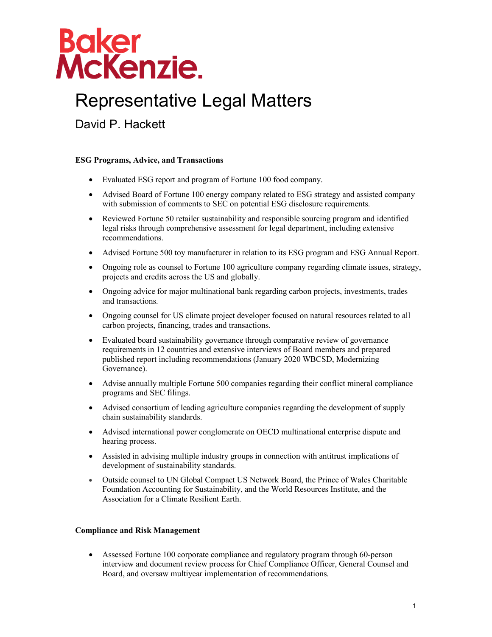

## Representative Legal Matters

David P. Hackett

#### **ESG Programs, Advice, and Transactions**

- Evaluated ESG report and program of Fortune 100 food company.
- Advised Board of Fortune 100 energy company related to ESG strategy and assisted company with submission of comments to SEC on potential ESG disclosure requirements.
- Reviewed Fortune 50 retailer sustainability and responsible sourcing program and identified legal risks through comprehensive assessment for legal department, including extensive recommendations.
- Advised Fortune 500 toy manufacturer in relation to its ESG program and ESG Annual Report.
- Ongoing role as counsel to Fortune 100 agriculture company regarding climate issues, strategy, projects and credits across the US and globally.
- Ongoing advice for major multinational bank regarding carbon projects, investments, trades and transactions.
- Ongoing counsel for US climate project developer focused on natural resources related to all carbon projects, financing, trades and transactions.
- Evaluated board sustainability governance through comparative review of governance requirements in 12 countries and extensive interviews of Board members and prepared published report including recommendations (January 2020 WBCSD, Modernizing Governance).
- Advise annually multiple Fortune 500 companies regarding their conflict mineral compliance programs and SEC filings.
- Advised consortium of leading agriculture companies regarding the development of supply chain sustainability standards.
- Advised international power conglomerate on OECD multinational enterprise dispute and hearing process.
- Assisted in advising multiple industry groups in connection with antitrust implications of development of sustainability standards.
- Outside counsel to UN Global Compact US Network Board, the Prince of Wales Charitable Foundation Accounting for Sustainability, and the World Resources Institute, and the Association for a Climate Resilient Earth.

#### **Compliance and Risk Management**

 Assessed Fortune 100 corporate compliance and regulatory program through 60-person interview and document review process for Chief Compliance Officer, General Counsel and Board, and oversaw multiyear implementation of recommendations.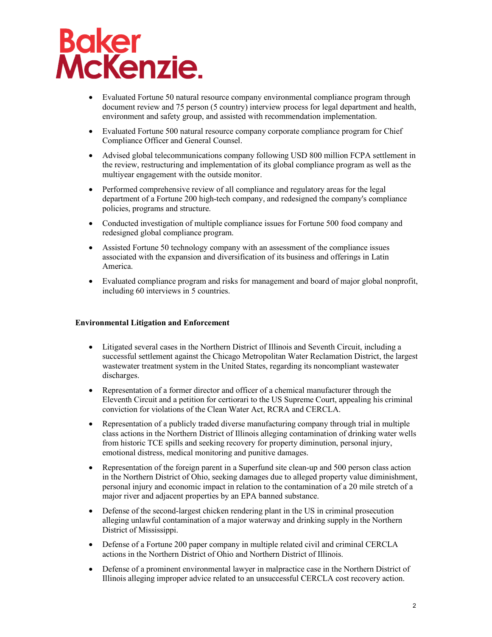# **Baker<br>McKenzie.**

- Evaluated Fortune 50 natural resource company environmental compliance program through document review and 75 person (5 country) interview process for legal department and health, environment and safety group, and assisted with recommendation implementation.
- Evaluated Fortune 500 natural resource company corporate compliance program for Chief Compliance Officer and General Counsel.
- Advised global telecommunications company following USD 800 million FCPA settlement in the review, restructuring and implementation of its global compliance program as well as the multiyear engagement with the outside monitor.
- Performed comprehensive review of all compliance and regulatory areas for the legal department of a Fortune 200 high-tech company, and redesigned the company's compliance policies, programs and structure.
- Conducted investigation of multiple compliance issues for Fortune 500 food company and redesigned global compliance program.
- Assisted Fortune 50 technology company with an assessment of the compliance issues associated with the expansion and diversification of its business and offerings in Latin America.
- Evaluated compliance program and risks for management and board of major global nonprofit, including 60 interviews in 5 countries.

### **Environmental Litigation and Enforcement**

- Litigated several cases in the Northern District of Illinois and Seventh Circuit, including a successful settlement against the Chicago Metropolitan Water Reclamation District, the largest wastewater treatment system in the United States, regarding its noncompliant wastewater discharges.
- Representation of a former director and officer of a chemical manufacturer through the Eleventh Circuit and a petition for certiorari to the US Supreme Court, appealing his criminal conviction for violations of the Clean Water Act, RCRA and CERCLA.
- Representation of a publicly traded diverse manufacturing company through trial in multiple class actions in the Northern District of Illinois alleging contamination of drinking water wells from historic TCE spills and seeking recovery for property diminution, personal injury, emotional distress, medical monitoring and punitive damages.
- Representation of the foreign parent in a Superfund site clean-up and 500 person class action in the Northern District of Ohio, seeking damages due to alleged property value diminishment, personal injury and economic impact in relation to the contamination of a 20 mile stretch of a major river and adjacent properties by an EPA banned substance.
- Defense of the second-largest chicken rendering plant in the US in criminal prosecution alleging unlawful contamination of a major waterway and drinking supply in the Northern District of Mississippi.
- Defense of a Fortune 200 paper company in multiple related civil and criminal CERCLA actions in the Northern District of Ohio and Northern District of Illinois.
- Defense of a prominent environmental lawyer in malpractice case in the Northern District of Illinois alleging improper advice related to an unsuccessful CERCLA cost recovery action.